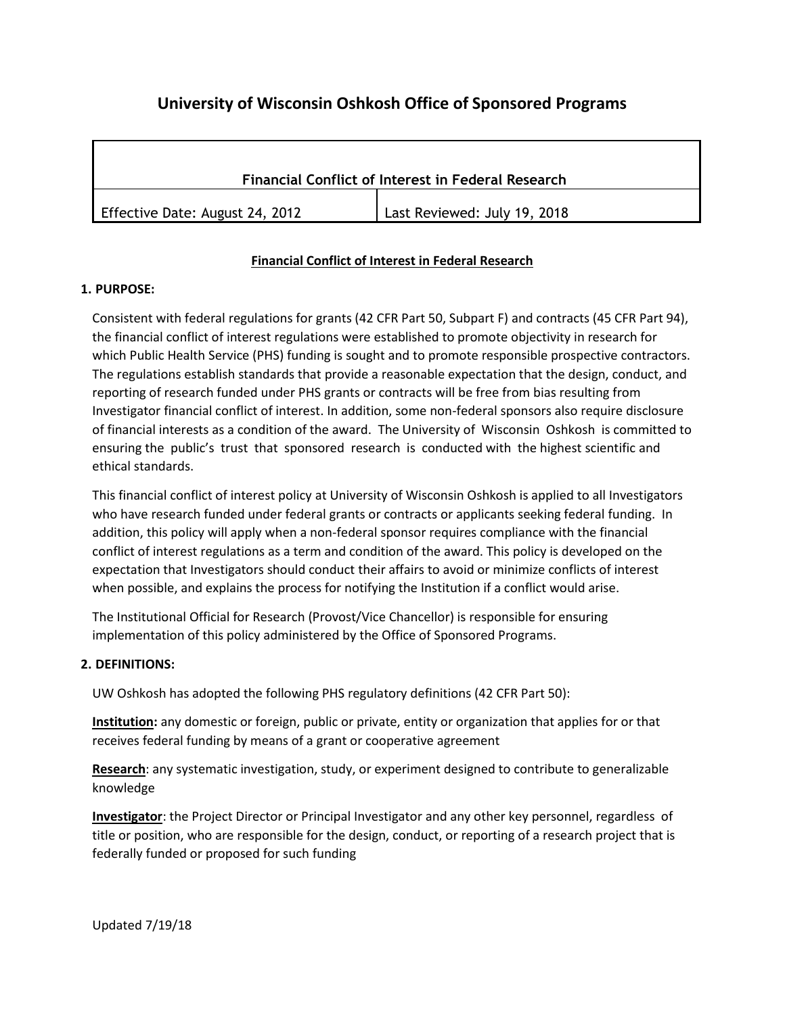# **University of Wisconsin Oshkosh Office of Sponsored Programs**

| <b>Financial Conflict of Interest in Federal Research</b> |                              |  |
|-----------------------------------------------------------|------------------------------|--|
| Effective Date: August 24, 2012                           | Last Reviewed: July 19, 2018 |  |

# **Financial Conflict of Interest in Federal Research**

#### **1. PURPOSE:**

Consistent with federal regulations for grants (42 CFR Part 50, Subpart F) and contracts (45 CFR Part 94), the financial conflict of interest regulations were established to promote objectivity in research for which Public Health Service (PHS) funding is sought and to promote responsible prospective contractors. The regulations establish standards that provide a reasonable expectation that the design, conduct, and reporting of research funded under PHS grants or contracts will be free from bias resulting from Investigator financial conflict of interest. In addition, some non-federal sponsors also require disclosure of financial interests as a condition of the award. The University of Wisconsin Oshkosh is committed to ensuring the public's trust that sponsored research is conducted with the highest scientific and ethical standards.

This financial conflict of interest policy at University of Wisconsin Oshkosh is applied to all Investigators who have research funded under federal grants or contracts or applicants seeking federal funding. In addition, this policy will apply when a non-federal sponsor requires compliance with the financial conflict of interest regulations as a term and condition of the award. This policy is developed on the expectation that Investigators should conduct their affairs to avoid or minimize conflicts of interest when possible, and explains the process for notifying the Institution if a conflict would arise.

The Institutional Official for Research (Provost/Vice Chancellor) is responsible for ensuring implementation of this policy administered by the Office of Sponsored Programs.

# **2. DEFINITIONS:**

UW Oshkosh has adopted the following PHS regulatory definitions (42 CFR Part 50):

**Institution:** any domestic or foreign, public or private, entity or organization that applies for or that receives federal funding by means of a grant or cooperative agreement

**Research**: any systematic investigation, study, or experiment designed to contribute to generalizable knowledge

**Investigator**: the Project Director or Principal Investigator and any other key personnel, regardless of title or position, who are responsible for the design, conduct, or reporting of a research project that is federally funded or proposed for such funding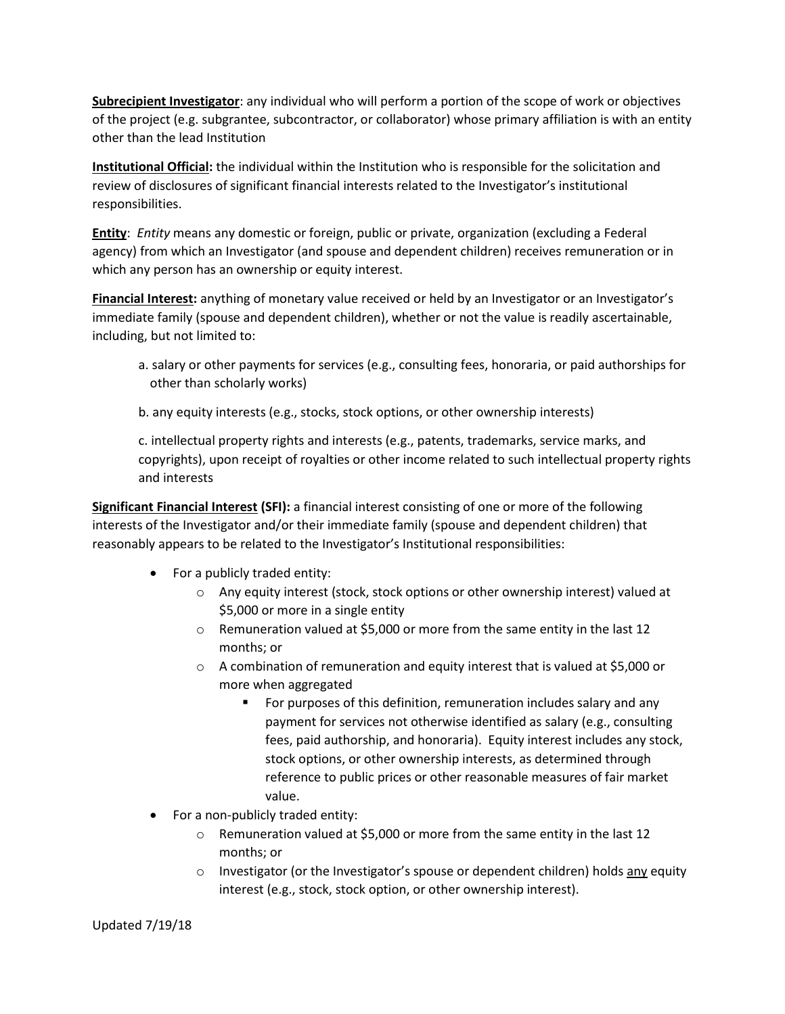**Subrecipient Investigator**: any individual who will perform a portion of the scope of work or objectives of the project (e.g. subgrantee, subcontractor, or collaborator) whose primary affiliation is with an entity other than the lead Institution

**Institutional Official:** the individual within the Institution who is responsible for the solicitation and review of disclosures of significant financial interests related to the Investigator's institutional responsibilities.

**Entity**: *Entity* means any domestic or foreign, public or private, organization (excluding a Federal agency) from which an Investigator (and spouse and dependent children) receives remuneration or in which any person has an ownership or equity interest.

**Financial Interest:** anything of monetary value received or held by an Investigator or an Investigator's immediate family (spouse and dependent children), whether or not the value is readily ascertainable, including, but not limited to:

- a. salary or other payments for services (e.g., consulting fees, honoraria, or paid authorships for other than scholarly works)
- b. any equity interests (e.g., stocks, stock options, or other ownership interests)

c. intellectual property rights and interests (e.g., patents, trademarks, service marks, and copyrights), upon receipt of royalties or other income related to such intellectual property rights and interests

**Significant Financial Interest (SFI):** a financial interest consisting of one or more of the following interests of the Investigator and/or their immediate family (spouse and dependent children) that reasonably appears to be related to the Investigator's Institutional responsibilities:

- For a publicly traded entity:
	- o Any equity interest (stock, stock options or other ownership interest) valued at \$5,000 or more in a single entity
	- $\circ$  Remuneration valued at \$5,000 or more from the same entity in the last 12 months; or
	- $\circ$  A combination of remuneration and equity interest that is valued at \$5,000 or more when aggregated
		- For purposes of this definition, remuneration includes salary and any payment for services not otherwise identified as salary (e.g., consulting fees, paid authorship, and honoraria). Equity interest includes any stock, stock options, or other ownership interests, as determined through reference to public prices or other reasonable measures of fair market value.
- For a non-publicly traded entity:
	- $\circ$  Remuneration valued at \$5,000 or more from the same entity in the last 12 months; or
	- $\circ$  Investigator (or the Investigator's spouse or dependent children) holds any equity interest (e.g., stock, stock option, or other ownership interest).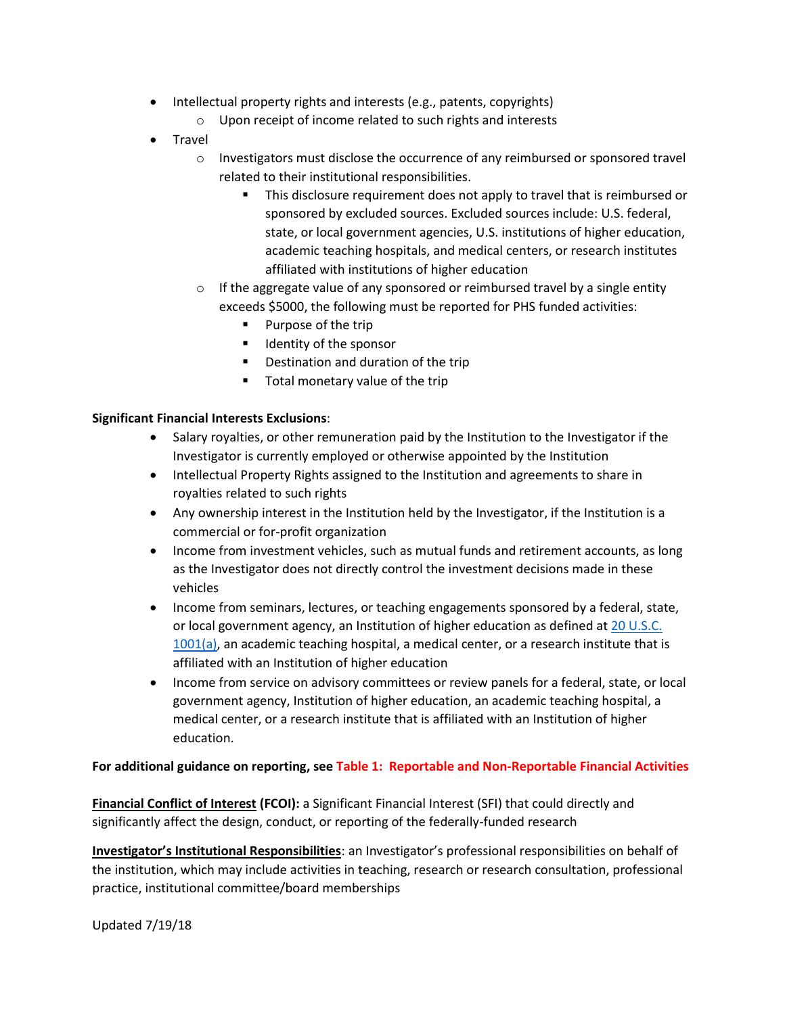- Intellectual property rights and interests (e.g., patents, copyrights)
	- o Upon receipt of income related to such rights and interests
- Travel
	- $\circ$  Investigators must disclose the occurrence of any reimbursed or sponsored travel related to their institutional responsibilities.
		- **This disclosure requirement does not apply to travel that is reimbursed or** sponsored by excluded sources. Excluded sources include: U.S. federal, state, or local government agencies, U.S. institutions of higher education, academic teaching hospitals, and medical centers, or research institutes affiliated with institutions of higher education
	- $\circ$  If the aggregate value of any sponsored or reimbursed travel by a single entity exceeds \$5000, the following must be reported for PHS funded activities:
		- **Purpose of the trip**
		- **IDENTIFY OF the sponsor**
		- **•** Destination and duration of the trip
		- Total monetary value of the trip

#### **Significant Financial Interests Exclusions**:

- Salary royalties, or other remuneration paid by the Institution to the Investigator if the Investigator is currently employed or otherwise appointed by the Institution
- Intellectual Property Rights assigned to the Institution and agreements to share in royalties related to such rights
- Any ownership interest in the Institution held by the Investigator, if the Institution is a commercial or for-profit organization
- Income from investment vehicles, such as mutual funds and retirement accounts, as long as the Investigator does not directly control the investment decisions made in these vehicles
- Income from seminars, lectures, or teaching engagements sponsored by a federal, state, or local government agency, an Institution of higher education as defined a[t 20 U.S.C.](https://www.law.cornell.edu/uscode/text/20/1001)  [1001\(a\),](https://www.law.cornell.edu/uscode/text/20/1001) an academic teaching hospital, a medical center, or a research institute that is affiliated with an Institution of higher education
- Income from service on advisory committees or review panels for a federal, state, or local government agency, Institution of higher education, an academic teaching hospital, a medical center, or a research institute that is affiliated with an Institution of higher education.

#### **For additional guidance on reporting, see Table 1: Reportable and Non-Reportable Financial Activities**

**Financial Conflict of Interest (FCOI):** a Significant Financial Interest (SFI) that could directly and significantly affect the design, conduct, or reporting of the federally-funded research

**Investigator's Institutional Responsibilities**: an Investigator's professional responsibilities on behalf of the institution, which may include activities in teaching, research or research consultation, professional practice, institutional committee/board memberships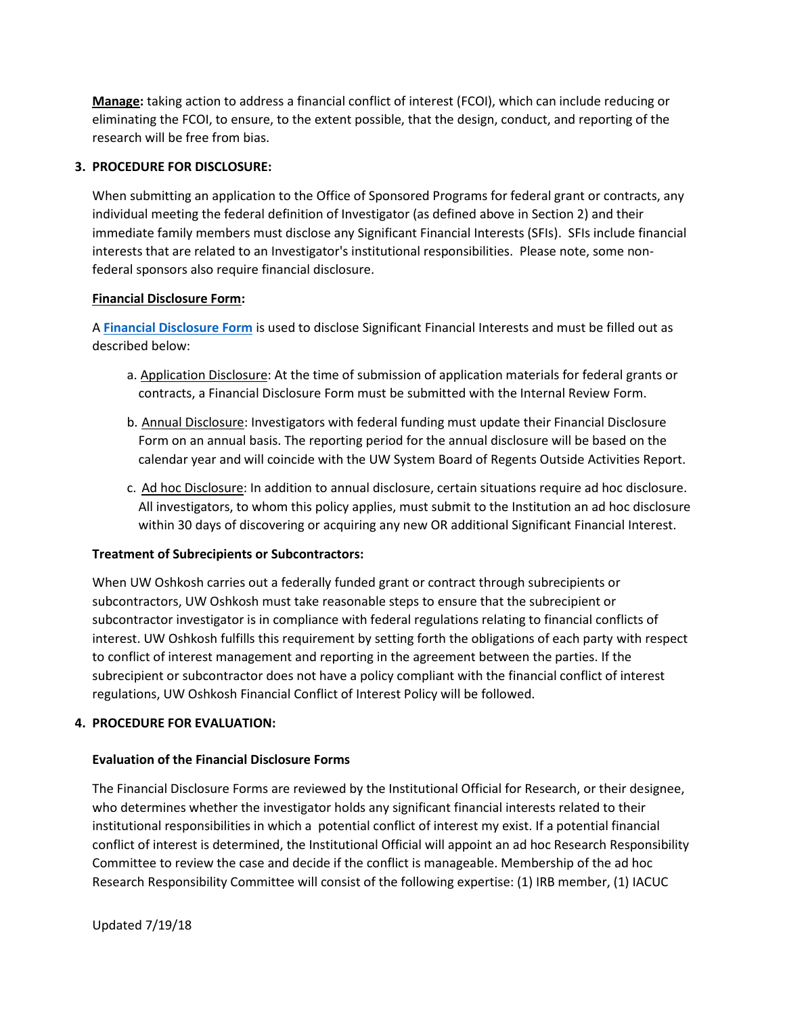**Manage:** taking action to address a financial conflict of interest (FCOI), which can include reducing or eliminating the FCOI, to ensure, to the extent possible, that the design, conduct, and reporting of the research will be free from bias.

#### **3. PROCEDURE FOR DISCLOSURE:**

When submitting an application to the Office of Sponsored Programs for federal grant or contracts, any individual meeting the federal definition of Investigator (as defined above in Section 2) and their immediate family members must disclose any Significant Financial Interests (SFIs). SFIs include financial interests that are related to an Investigator's institutional responsibilities. Please note, some nonfederal sponsors also require financial disclosure.

#### **Financial Disclosure Form:**

A **[Financial Disclosure Form](https://uwosh.edu/sponsoredprograms/fcoi/)** is used to disclose Significant Financial Interests and must be filled out as described below:

- a. Application Disclosure: At the time of submission of application materials for federal grants or contracts, a Financial Disclosure Form must be submitted with the Internal Review Form.
- b. Annual Disclosure: Investigators with federal funding must update their Financial Disclosure Form on an annual basis. The reporting period for the annual disclosure will be based on the calendar year and will coincide with the UW System Board of Regents Outside Activities Report.
- c. Ad hoc Disclosure: In addition to annual disclosure, certain situations require ad hoc disclosure. All investigators, to whom this policy applies, must submit to the Institution an ad hoc disclosure within 30 days of discovering or acquiring any new OR additional Significant Financial Interest.

#### **Treatment of Subrecipients or Subcontractors:**

When UW Oshkosh carries out a federally funded grant or contract through subrecipients or subcontractors, UW Oshkosh must take reasonable steps to ensure that the subrecipient or subcontractor investigator is in compliance with federal regulations relating to financial conflicts of interest. UW Oshkosh fulfills this requirement by setting forth the obligations of each party with respect to conflict of interest management and reporting in the agreement between the parties. If the subrecipient or subcontractor does not have a policy compliant with the financial conflict of interest regulations, UW Oshkosh Financial Conflict of Interest Policy will be followed.

#### **4. PROCEDURE FOR EVALUATION:**

# **Evaluation of the Financial Disclosure Forms**

The Financial Disclosure Forms are reviewed by the Institutional Official for Research, or their designee, who determines whether the investigator holds any significant financial interests related to their institutional responsibilities in which a potential conflict of interest my exist. If a potential financial conflict of interest is determined, the Institutional Official will appoint an ad hoc Research Responsibility Committee to review the case and decide if the conflict is manageable. Membership of the ad hoc Research Responsibility Committee will consist of the following expertise: (1) IRB member, (1) IACUC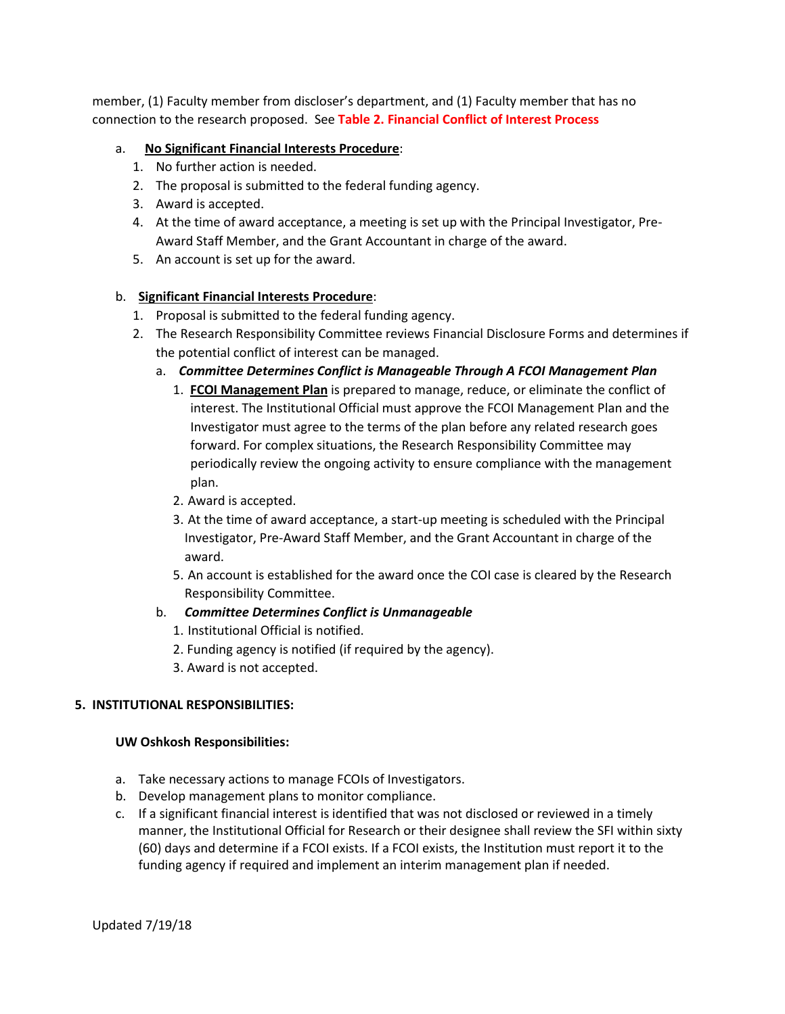member, (1) Faculty member from discloser's department, and (1) Faculty member that has no connection to the research proposed. See **Table 2. Financial Conflict of Interest Process**

#### a. **No Significant Financial Interests Procedure**:

- 1. No further action is needed.
- 2. The proposal is submitted to the federal funding agency.
- 3. Award is accepted.
- 4. At the time of award acceptance, a meeting is set up with the Principal Investigator, Pre-Award Staff Member, and the Grant Accountant in charge of the award.
- 5. An account is set up for the award.

#### b. **Significant Financial Interests Procedure**:

- 1. Proposal is submitted to the federal funding agency.
- 2. The Research Responsibility Committee reviews Financial Disclosure Forms and determines if the potential conflict of interest can be managed.
	- a. *Committee Determines Conflict is Manageable Through A FCOI Management Plan*
		- 1. **FCOI Management Plan** is prepared to manage, reduce, or eliminate the conflict of interest. The Institutional Official must approve the FCOI Management Plan and the Investigator must agree to the terms of the plan before any related research goes forward. For complex situations, the Research Responsibility Committee may periodically review the ongoing activity to ensure compliance with the management plan.
		- 2. Award is accepted.
		- 3. At the time of award acceptance, a start-up meeting is scheduled with the Principal Investigator, Pre-Award Staff Member, and the Grant Accountant in charge of the award.
		- 5. An account is established for the award once the COI case is cleared by the Research Responsibility Committee.

#### b. *Committee Determines Conflict is Unmanageable*

- 1. Institutional Official is notified.
- 2. Funding agency is notified (if required by the agency).
- 3. Award is not accepted.

#### **5. INSTITUTIONAL RESPONSIBILITIES:**

#### **UW Oshkosh Responsibilities:**

- a. Take necessary actions to manage FCOIs of Investigators.
- b. Develop management plans to monitor compliance.
- c. If a significant financial interest is identified that was not disclosed or reviewed in a timely manner, the Institutional Official for Research or their designee shall review the SFI within sixty (60) days and determine if a FCOI exists. If a FCOI exists, the Institution must report it to the funding agency if required and implement an interim management plan if needed.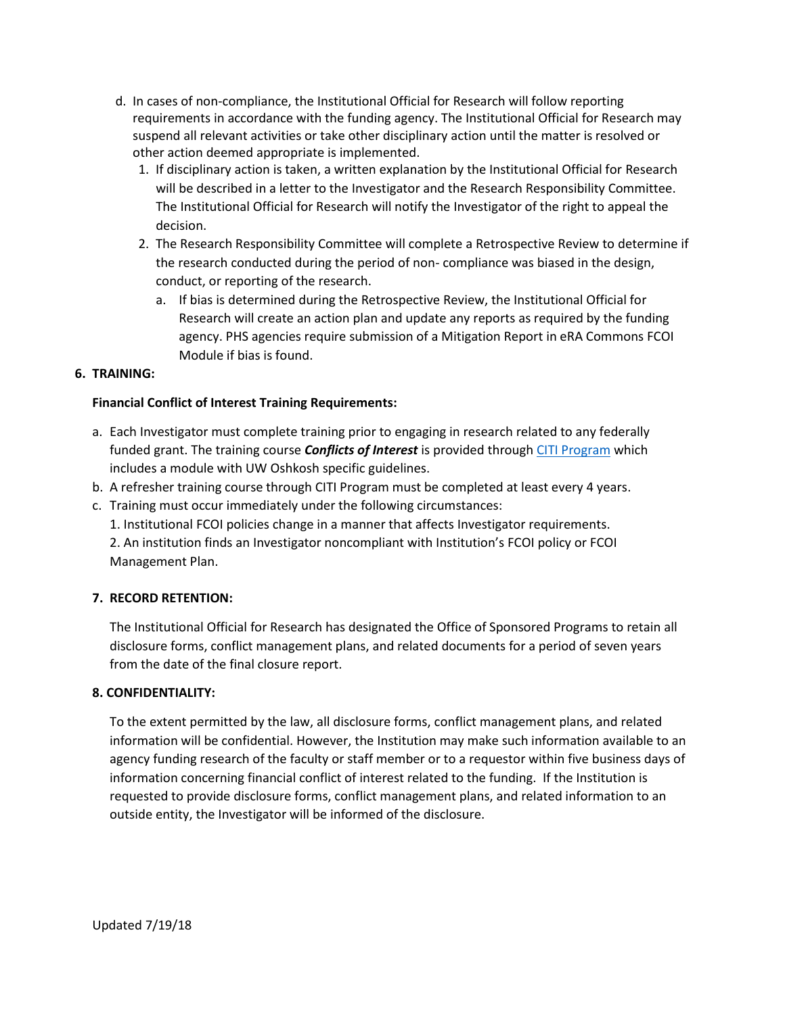- d. In cases of non-compliance, the Institutional Official for Research will follow reporting requirements in accordance with the funding agency. The Institutional Official for Research may suspend all relevant activities or take other disciplinary action until the matter is resolved or other action deemed appropriate is implemented.
	- 1. If disciplinary action is taken, a written explanation by the Institutional Official for Research will be described in a letter to the Investigator and the Research Responsibility Committee. The Institutional Official for Research will notify the Investigator of the right to appeal the decision.
	- 2. The Research Responsibility Committee will complete a Retrospective Review to determine if the research conducted during the period of non- compliance was biased in the design, conduct, or reporting of the research.
		- a. If bias is determined during the Retrospective Review, the Institutional Official for Research will create an action plan and update any reports as required by the funding agency. PHS agencies require submission of a Mitigation Report in eRA Commons FCOI Module if bias is found.

#### **6. TRAINING:**

#### **Financial Conflict of Interest Training Requirements:**

- a. Each Investigator must complete training prior to engaging in research related to any federally funded grant. The training course *Conflicts of Interest* is provided throug[h CITI Program](https://about.citiprogram.org/en/homepage/) which includes a module with UW Oshkosh specific guidelines.
- b. A refresher training course through CITI Program must be completed at least every 4 years.
- c. Training must occur immediately under the following circumstances:
	- 1. Institutional FCOI policies change in a manner that affects Investigator requirements.

2. An institution finds an Investigator noncompliant with Institution's FCOI policy or FCOI Management Plan.

# **7. RECORD RETENTION:**

The Institutional Official for Research has designated the Office of Sponsored Programs to retain all disclosure forms, conflict management plans, and related documents for a period of seven years from the date of the final closure report.

# **8. CONFIDENTIALITY:**

To the extent permitted by the law, all disclosure forms, conflict management plans, and related information will be confidential. However, the Institution may make such information available to an agency funding research of the faculty or staff member or to a requestor within five business days of information concerning financial conflict of interest related to the funding. If the Institution is requested to provide disclosure forms, conflict management plans, and related information to an outside entity, the Investigator will be informed of the disclosure.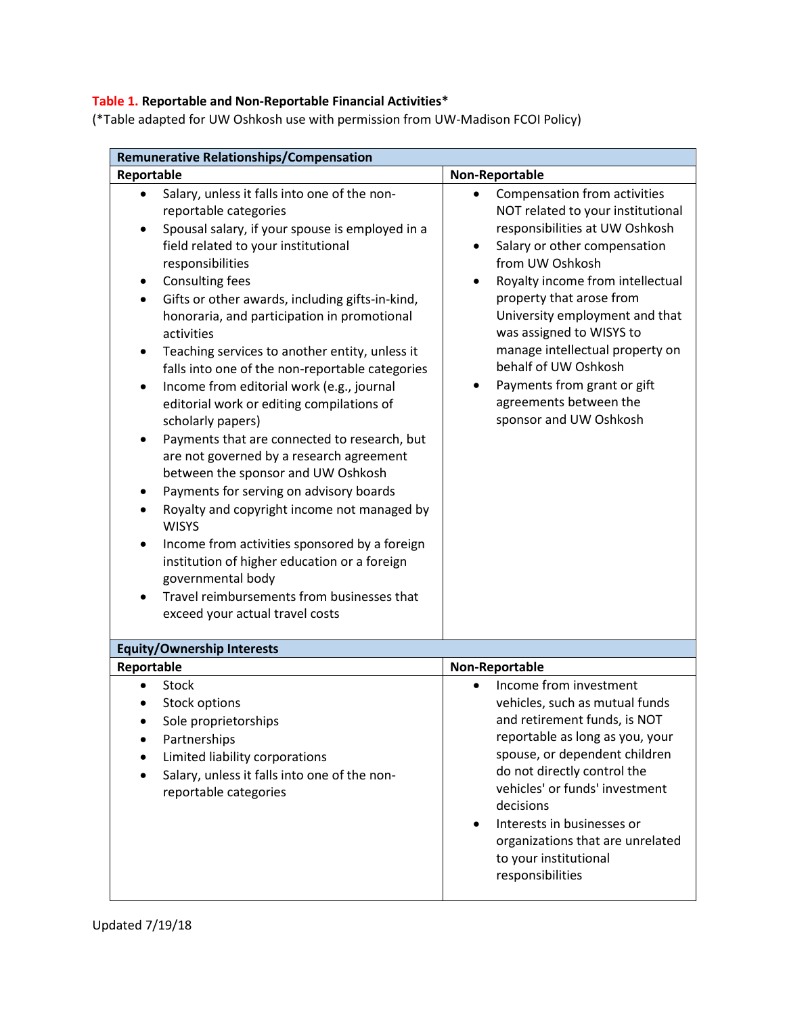# **Table 1. Reportable and Non-Reportable Financial Activities\***

(\*Table adapted for UW Oshkosh use with permission from UW-Madison FCOI Policy)

| <b>Remunerative Relationships/Compensation</b>                                                                                                                                                                                                                                                                                                                                                                                                                                                                                                                                                                                                                                                                                                                                                                                                                                                                                                                                                                                                                          |                                                                                                                                                                                                                                                                                                                                                                                                                                    |  |
|-------------------------------------------------------------------------------------------------------------------------------------------------------------------------------------------------------------------------------------------------------------------------------------------------------------------------------------------------------------------------------------------------------------------------------------------------------------------------------------------------------------------------------------------------------------------------------------------------------------------------------------------------------------------------------------------------------------------------------------------------------------------------------------------------------------------------------------------------------------------------------------------------------------------------------------------------------------------------------------------------------------------------------------------------------------------------|------------------------------------------------------------------------------------------------------------------------------------------------------------------------------------------------------------------------------------------------------------------------------------------------------------------------------------------------------------------------------------------------------------------------------------|--|
| Reportable                                                                                                                                                                                                                                                                                                                                                                                                                                                                                                                                                                                                                                                                                                                                                                                                                                                                                                                                                                                                                                                              | Non-Reportable                                                                                                                                                                                                                                                                                                                                                                                                                     |  |
| Salary, unless it falls into one of the non-<br>$\bullet$<br>reportable categories<br>Spousal salary, if your spouse is employed in a<br>$\bullet$<br>field related to your institutional<br>responsibilities<br><b>Consulting fees</b><br>٠<br>Gifts or other awards, including gifts-in-kind,<br>٠<br>honoraria, and participation in promotional<br>activities<br>Teaching services to another entity, unless it<br>$\bullet$<br>falls into one of the non-reportable categories<br>Income from editorial work (e.g., journal<br>$\bullet$<br>editorial work or editing compilations of<br>scholarly papers)<br>Payments that are connected to research, but<br>are not governed by a research agreement<br>between the sponsor and UW Oshkosh<br>Payments for serving on advisory boards<br>Royalty and copyright income not managed by<br><b>WISYS</b><br>Income from activities sponsored by a foreign<br>٠<br>institution of higher education or a foreign<br>governmental body<br>Travel reimbursements from businesses that<br>exceed your actual travel costs | Compensation from activities<br>NOT related to your institutional<br>responsibilities at UW Oshkosh<br>Salary or other compensation<br>from UW Oshkosh<br>Royalty income from intellectual<br>property that arose from<br>University employment and that<br>was assigned to WISYS to<br>manage intellectual property on<br>behalf of UW Oshkosh<br>Payments from grant or gift<br>agreements between the<br>sponsor and UW Oshkosh |  |
| <b>Equity/Ownership Interests</b>                                                                                                                                                                                                                                                                                                                                                                                                                                                                                                                                                                                                                                                                                                                                                                                                                                                                                                                                                                                                                                       |                                                                                                                                                                                                                                                                                                                                                                                                                                    |  |
| Reportable                                                                                                                                                                                                                                                                                                                                                                                                                                                                                                                                                                                                                                                                                                                                                                                                                                                                                                                                                                                                                                                              | Non-Reportable                                                                                                                                                                                                                                                                                                                                                                                                                     |  |
| <b>Stock</b><br><b>Stock options</b><br>Sole proprietorships<br>Partnerships<br>Limited liability corporations<br>Salary, unless it falls into one of the non-<br>reportable categories                                                                                                                                                                                                                                                                                                                                                                                                                                                                                                                                                                                                                                                                                                                                                                                                                                                                                 | Income from investment<br>vehicles, such as mutual funds<br>and retirement funds, is NOT<br>reportable as long as you, your<br>spouse, or dependent children<br>do not directly control the<br>vehicles' or funds' investment<br>decisions<br>Interests in businesses or<br>$\bullet$<br>organizations that are unrelated<br>to your institutional<br>responsibilities                                                             |  |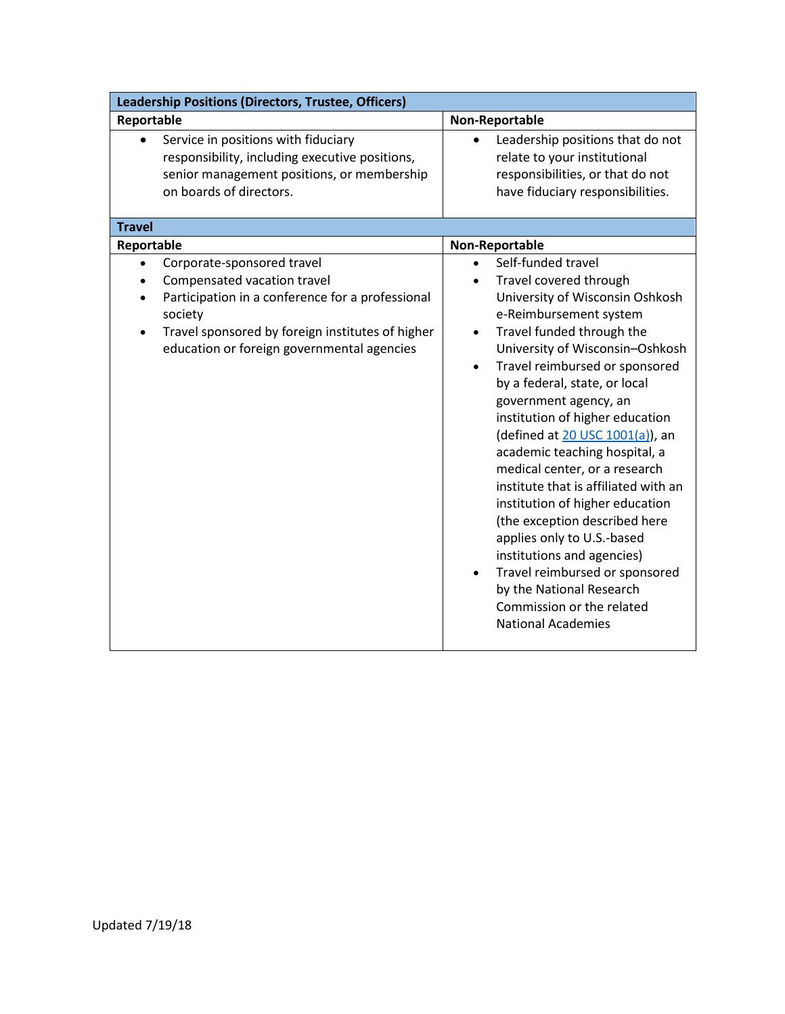| Leadership Positions (Directors, Trustee, Officers)                                                                                                                                                                                                  |                                                                                                                                                                                                                                                                                                                                                                                                                                                                                                                                                                                                                                                                                                                                                      |  |
|------------------------------------------------------------------------------------------------------------------------------------------------------------------------------------------------------------------------------------------------------|------------------------------------------------------------------------------------------------------------------------------------------------------------------------------------------------------------------------------------------------------------------------------------------------------------------------------------------------------------------------------------------------------------------------------------------------------------------------------------------------------------------------------------------------------------------------------------------------------------------------------------------------------------------------------------------------------------------------------------------------------|--|
| Reportable                                                                                                                                                                                                                                           | Non-Reportable                                                                                                                                                                                                                                                                                                                                                                                                                                                                                                                                                                                                                                                                                                                                       |  |
| Service in positions with fiduciary<br>$\bullet$<br>responsibility, including executive positions,<br>senior management positions, or membership<br>on boards of directors.<br><b>Travel</b><br>Reportable                                           | Leadership positions that do not<br>$\bullet$<br>relate to your institutional<br>responsibilities, or that do not<br>have fiduciary responsibilities.<br>Non-Reportable                                                                                                                                                                                                                                                                                                                                                                                                                                                                                                                                                                              |  |
| Corporate-sponsored travel<br>$\bullet$<br>Compensated vacation travel<br>Participation in a conference for a professional<br>society<br>Travel sponsored by foreign institutes of higher<br>$\bullet$<br>education or foreign governmental agencies | Self-funded travel<br>Travel covered through<br>University of Wisconsin Oshkosh<br>e-Reimbursement system<br>Travel funded through the<br>$\bullet$<br>University of Wisconsin-Oshkosh<br>Travel reimbursed or sponsored<br>$\bullet$<br>by a federal, state, or local<br>government agency, an<br>institution of higher education<br>(defined at 20 USC 1001(a)), an<br>academic teaching hospital, a<br>medical center, or a research<br>institute that is affiliated with an<br>institution of higher education<br>(the exception described here<br>applies only to U.S.-based<br>institutions and agencies)<br>Travel reimbursed or sponsored<br>$\bullet$<br>by the National Research<br>Commission or the related<br><b>National Academies</b> |  |